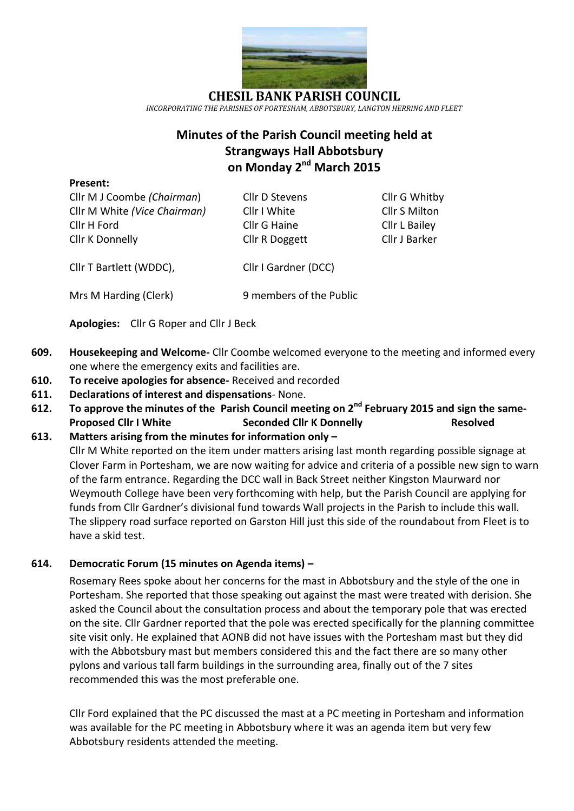

**CHESIL BANK PARISH COUNCIL** *INCORPORATING THE PARISHES OF PORTESHAM, ABBOTSBURY, LANGTON HERRING AND FLEET*

# **Minutes of the Parish Council meeting held at Strangways Hall Abbotsbury on Monday 2 nd March 2015**

#### **Present:**

Cllr M J Coombe *(Chairman*) Cllr D Stevens Cllr G Whitby Cllr M White *(Vice Chairman)* Cllr I White Cllr S Milton Cllr H Ford Cllr G Haine Cllr L Bailey Cllr K Donnelly Cllr R Doggett Cllr J Barker

Cllr T Bartlett (WDDC), Cllr I Gardner (DCC)

Mrs M Harding (Clerk) 9 members of the Public

**Apologies:** Cllr G Roper and Cllr J Beck

- **609. Housekeeping and Welcome-** Cllr Coombe welcomed everyone to the meeting and informed every one where the emergency exits and facilities are.
- **610. To receive apologies for absence-** Received and recorded
- **611. Declarations of interest and dispensations** None.
- **612. To approve the minutes of the Parish Council meeting on 2 nd February 2015 and sign the same-Proposed Cllr I White Seconded Cllr K Donnelly Resolved**
- **613. Matters arising from the minutes for information only –** Cllr M White reported on the item under matters arising last month regarding possible signage at Clover Farm in Portesham, we are now waiting for advice and criteria of a possible new sign to warn of the farm entrance. Regarding the DCC wall in Back Street neither Kingston Maurward nor Weymouth College have been very forthcoming with help, but the Parish Council are applying for funds from Cllr Gardner's divisional fund towards Wall projects in the Parish to include this wall. The slippery road surface reported on Garston Hill just this side of the roundabout from Fleet is to have a skid test.

# **614. Democratic Forum (15 minutes on Agenda items) –**

Rosemary Rees spoke about her concerns for the mast in Abbotsbury and the style of the one in Portesham. She reported that those speaking out against the mast were treated with derision. She asked the Council about the consultation process and about the temporary pole that was erected on the site. Cllr Gardner reported that the pole was erected specifically for the planning committee site visit only. He explained that AONB did not have issues with the Portesham mast but they did with the Abbotsbury mast but members considered this and the fact there are so many other pylons and various tall farm buildings in the surrounding area, finally out of the 7 sites recommended this was the most preferable one.

Cllr Ford explained that the PC discussed the mast at a PC meeting in Portesham and information was available for the PC meeting in Abbotsbury where it was an agenda item but very few Abbotsbury residents attended the meeting.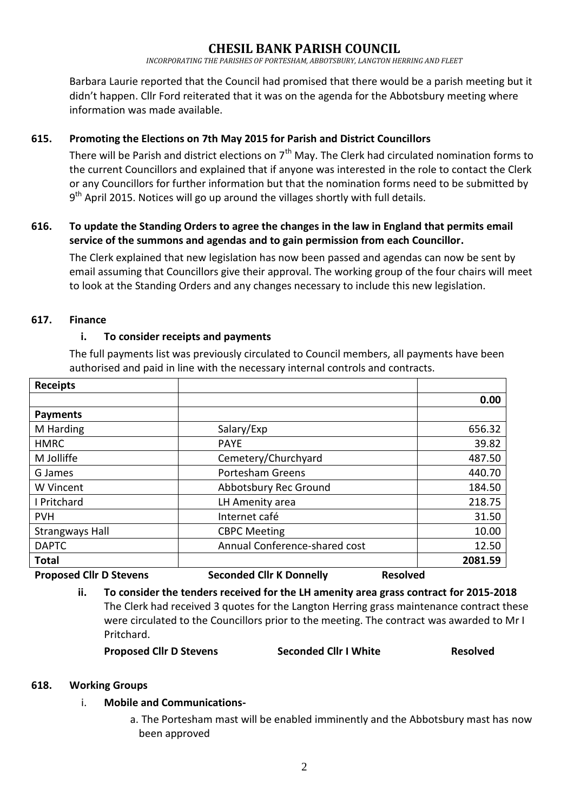# **CHESIL BANK PARISH COUNCIL**

*INCORPORATING THE PARISHES OF PORTESHAM, ABBOTSBURY, LANGTON HERRING AND FLEET*

Barbara Laurie reported that the Council had promised that there would be a parish meeting but it didn't happen. Cllr Ford reiterated that it was on the agenda for the Abbotsbury meeting where information was made available.

## **615. Promoting the Elections on 7th May 2015 for Parish and District Councillors**

There will be Parish and district elections on  $7<sup>th</sup>$  May. The Clerk had circulated nomination forms to the current Councillors and explained that if anyone was interested in the role to contact the Clerk or any Councillors for further information but that the nomination forms need to be submitted by 9<sup>th</sup> April 2015. Notices will go up around the villages shortly with full details.

## **616. To update the Standing Orders to agree the changes in the law in England that permits email service of the summons and agendas and to gain permission from each Councillor.**

The Clerk explained that new legislation has now been passed and agendas can now be sent by email assuming that Councillors give their approval. The working group of the four chairs will meet to look at the Standing Orders and any changes necessary to include this new legislation.

#### **617. Finance**

#### **i. To consider receipts and payments**

The full payments list was previously circulated to Council members, all payments have been authorised and paid in line with the necessary internal controls and contracts.

| <b>Receipts</b>                                                                   |                               |         |
|-----------------------------------------------------------------------------------|-------------------------------|---------|
|                                                                                   |                               | 0.00    |
| <b>Payments</b>                                                                   |                               |         |
| M Harding                                                                         | Salary/Exp                    | 656.32  |
| <b>HMRC</b>                                                                       | <b>PAYE</b>                   | 39.82   |
| M Jolliffe                                                                        | Cemetery/Churchyard           | 487.50  |
| G James                                                                           | <b>Portesham Greens</b>       | 440.70  |
| W Vincent                                                                         | Abbotsbury Rec Ground         | 184.50  |
| I Pritchard                                                                       | LH Amenity area               | 218.75  |
| <b>PVH</b>                                                                        | Internet café                 | 31.50   |
| <b>Strangways Hall</b>                                                            | <b>CBPC Meeting</b>           | 10.00   |
| <b>DAPTC</b>                                                                      | Annual Conference-shared cost | 12.50   |
| <b>Total</b>                                                                      |                               | 2081.59 |
| Concerted Alliett Boundary<br><b>Donannond Allo D. Charles</b><br><b>Deselved</b> |                               |         |

**Proposed Cllr D Stevens Seconded Cllr K Donnelly Resolved**

**ii. To consider the tenders received for the LH amenity area grass contract for 2015-2018** The Clerk had received 3 quotes for the Langton Herring grass maintenance contract these were circulated to the Councillors prior to the meeting. The contract was awarded to Mr I Pritchard.

**Proposed Cllr D Stevens Seconded Cllr I White Resolved**

#### **618. Working Groups**

## i. **Mobile and Communications-**

a. The Portesham mast will be enabled imminently and the Abbotsbury mast has now been approved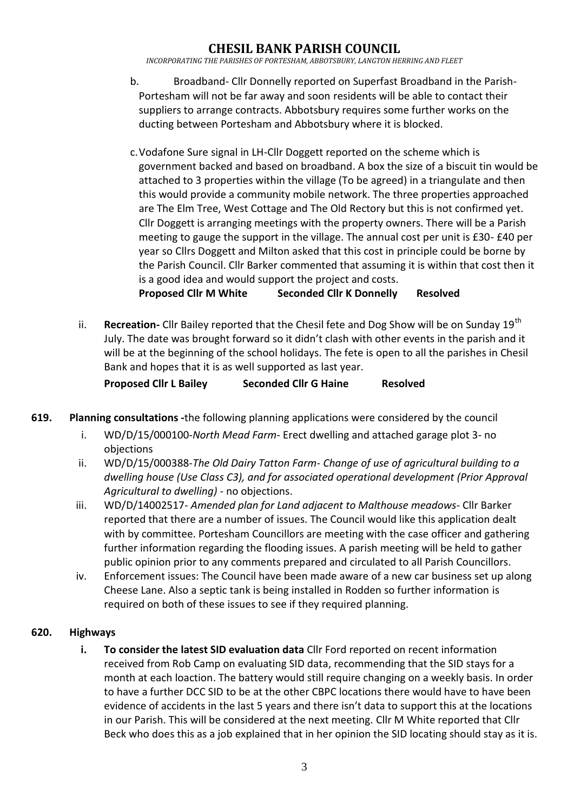# **CHESIL BANK PARISH COUNCIL**

*INCORPORATING THE PARISHES OF PORTESHAM, ABBOTSBURY, LANGTON HERRING AND FLEET*

- b. Broadband- Cllr Donnelly reported on Superfast Broadband in the Parish-Portesham will not be far away and soon residents will be able to contact their suppliers to arrange contracts. Abbotsbury requires some further works on the ducting between Portesham and Abbotsbury where it is blocked.
- c.Vodafone Sure signal in LH-Cllr Doggett reported on the scheme which is government backed and based on broadband. A box the size of a biscuit tin would be attached to 3 properties within the village (To be agreed) in a triangulate and then this would provide a community mobile network. The three properties approached are The Elm Tree, West Cottage and The Old Rectory but this is not confirmed yet. Cllr Doggett is arranging meetings with the property owners. There will be a Parish meeting to gauge the support in the village. The annual cost per unit is £30- £40 per year so Cllrs Doggett and Milton asked that this cost in principle could be borne by the Parish Council. Cllr Barker commented that assuming it is within that cost then it is a good idea and would support the project and costs.

**Proposed Cllr M White Seconded Cllr K Donnelly Resolved**

ii. **Recreation-** Cllr Bailey reported that the Chesil fete and Dog Show will be on Sunday 19<sup>th</sup> July. The date was brought forward so it didn't clash with other events in the parish and it will be at the beginning of the school holidays. The fete is open to all the parishes in Chesil Bank and hopes that it is as well supported as last year.

**Proposed Cllr L Bailey Seconded Cllr G Haine Resolved**

- **619. Planning consultations -**the following planning applications were considered by the council
	- i. WD/D/15/000100*-North Mead Farm-* Erect dwelling and attached garage plot 3- no objections
	- ii. WD/D/15/000388-*The Old Dairy Tatton Farm- Change of use of agricultural building to a dwelling house (Use Class C3), and for associated operational development (Prior Approval Agricultural to dwelling) -* no objections.
	- iii. WD/D/14002517- *Amended plan for Land adjacent to Malthouse meadows-* Cllr Barker reported that there are a number of issues. The Council would like this application dealt with by committee. Portesham Councillors are meeting with the case officer and gathering further information regarding the flooding issues. A parish meeting will be held to gather public opinion prior to any comments prepared and circulated to all Parish Councillors.
	- iv. Enforcement issues: The Council have been made aware of a new car business set up along Cheese Lane. Also a septic tank is being installed in Rodden so further information is required on both of these issues to see if they required planning.

#### **620. Highways**

**i. To consider the latest SID evaluation data** Cllr Ford reported on recent information received from Rob Camp on evaluating SID data, recommending that the SID stays for a month at each loaction. The battery would still require changing on a weekly basis. In order to have a further DCC SID to be at the other CBPC locations there would have to have been evidence of accidents in the last 5 years and there isn't data to support this at the locations in our Parish. This will be considered at the next meeting. Cllr M White reported that Cllr Beck who does this as a job explained that in her opinion the SID locating should stay as it is.